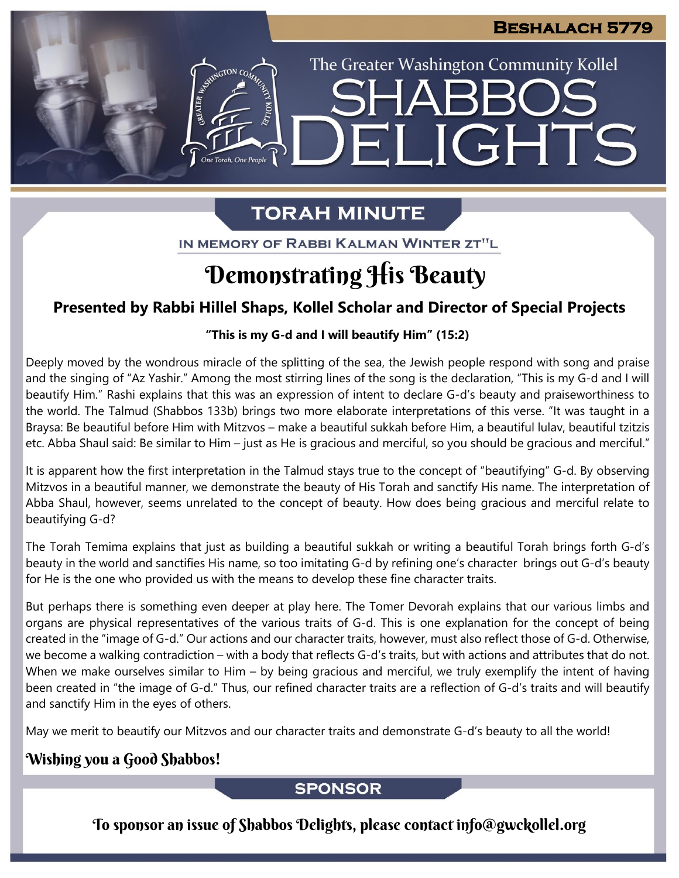**JGHTS** 

The Greater Washington Community Kollel

# **TORAH MINUTE**

FI

IN MEMORY OF RABBI KALMAN WINTER ZT"L

# Demonstrating His Beauty

## **Presented by Rabbi Hillel Shaps, Kollel Scholar and Director of Special Projects**

### **"This is my G-d and I will beautify Him" (15:2)**

Deeply moved by the wondrous miracle of the splitting of the sea, the Jewish people respond with song and praise and the singing of "Az Yashir." Among the most stirring lines of the song is the declaration, "This is my G-d and I will beautify Him." Rashi explains that this was an expression of intent to declare G-d's beauty and praiseworthiness to the world. The Talmud (Shabbos 133b) brings two more elaborate interpretations of this verse. "It was taught in a Braysa: Be beautiful before Him with Mitzvos – make a beautiful sukkah before Him, a beautiful lulav, beautiful tzitzis etc. Abba Shaul said: Be similar to Him – just as He is gracious and merciful, so you should be gracious and merciful."

It is apparent how the first interpretation in the Talmud stays true to the concept of "beautifying" G-d. By observing Mitzvos in a beautiful manner, we demonstrate the beauty of His Torah and sanctify His name. The interpretation of Abba Shaul, however, seems unrelated to the concept of beauty. How does being gracious and merciful relate to beautifying G-d?

The Torah Temima explains that just as building a beautiful sukkah or writing a beautiful Torah brings forth G-d's beauty in the world and sanctifies His name, so too imitating G-d by refining one's character brings out G-d's beauty for He is the one who provided us with the means to develop these fine character traits.

But perhaps there is something even deeper at play here. The Tomer Devorah explains that our various limbs and organs are physical representatives of the various traits of G-d. This is one explanation for the concept of being created in the "image of G-d." Our actions and our character traits, however, must also reflect those of G-d. Otherwise, we become a walking contradiction – with a body that reflects G-d's traits, but with actions and attributes that do not. When we make ourselves similar to Him – by being gracious and merciful, we truly exemplify the intent of having been created in "the image of G-d." Thus, our refined character traits are a reflection of G-d's traits and will beautify and sanctify Him in the eyes of others.

May we merit to beautify our Mitzvos and our character traits and demonstrate G-d's beauty to all the world!

## Wishing you a Good Shabbos!

### **SPONSOR**

To sponsor an issue of Shabbos Delights, please contact info@gwckollel.org